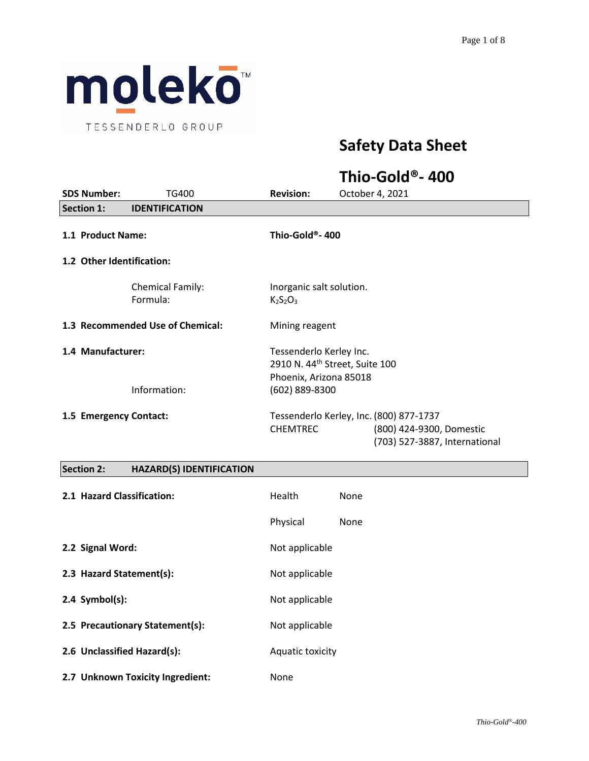

# **Safety Data Sheet**

# **Thio-Gold®- 400**

| <b>SDS Number:</b>               | TG400                               | <b>Revision:</b>                                                                                | October 4, 2021                                           |
|----------------------------------|-------------------------------------|-------------------------------------------------------------------------------------------------|-----------------------------------------------------------|
| <b>Section 1:</b>                | <b>IDENTIFICATION</b>               |                                                                                                 |                                                           |
| 1.1 Product Name:                |                                     | Thio-Gold®- 400                                                                                 |                                                           |
| 1.2 Other Identification:        |                                     |                                                                                                 |                                                           |
|                                  | <b>Chemical Family:</b><br>Formula: | Inorganic salt solution.<br>$K2S2O3$                                                            |                                                           |
| 1.3 Recommended Use of Chemical: |                                     | Mining reagent                                                                                  |                                                           |
| 1.4 Manufacturer:                |                                     | Tessenderlo Kerley Inc.<br>2910 N. 44 <sup>th</sup> Street, Suite 100<br>Phoenix, Arizona 85018 |                                                           |
|                                  | Information:                        | (602) 889-8300                                                                                  |                                                           |
| 1.5 Emergency Contact:           |                                     |                                                                                                 | Tessenderlo Kerley, Inc. (800) 877-1737                   |
|                                  |                                     | <b>CHEMTREC</b>                                                                                 | (800) 424-9300, Domestic<br>(703) 527-3887, International |
| <b>Section 2:</b>                | <b>HAZARD(S) IDENTIFICATION</b>     |                                                                                                 |                                                           |

| 2.1 Hazard Classification:       | Health           | None |
|----------------------------------|------------------|------|
|                                  | Physical         | None |
| 2.2 Signal Word:                 | Not applicable   |      |
| 2.3 Hazard Statement(s):         | Not applicable   |      |
| $2.4$ Symbol(s):                 | Not applicable   |      |
| 2.5 Precautionary Statement(s):  | Not applicable   |      |
| 2.6 Unclassified Hazard(s):      | Aquatic toxicity |      |
| 2.7 Unknown Toxicity Ingredient: | None             |      |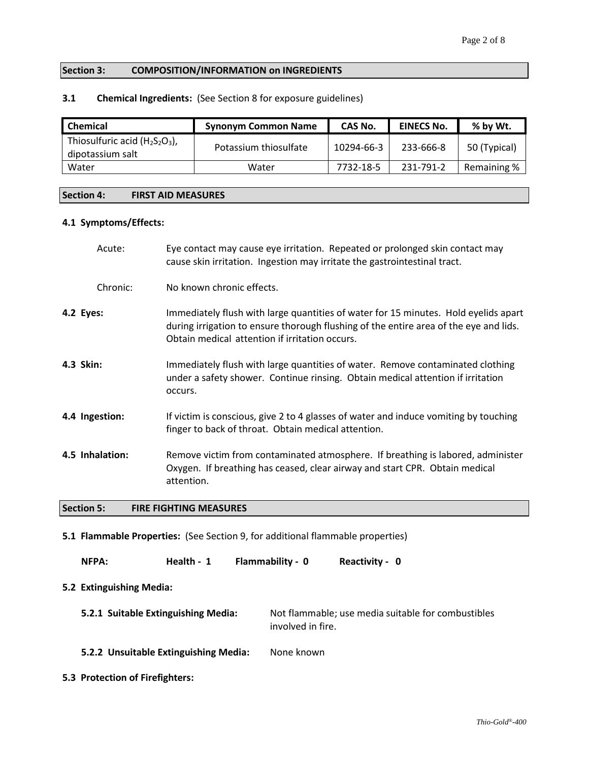## **Section 3: COMPOSITION/INFORMATION on INGREDIENTS**

# **3.1 Chemical Ingredients:** (See Section 8 for exposure guidelines)

| <b>Chemical</b>                                       | <b>Synonym Common Name</b> | CAS No.    | <b>EINECS No.</b> | % by Wt.     |
|-------------------------------------------------------|----------------------------|------------|-------------------|--------------|
| Thiosulfuric acid $(H_2S_2O_3)$ ,<br>dipotassium salt | Potassium thiosulfate      | 10294-66-3 | 233-666-8         | 50 (Typical) |
| Water                                                 | Water                      | 7732-18-5  | 231-791-2         | Remaining %  |

#### **Section 4: FIRST AID MEASURES**

## **4.1 Symptoms/Effects:**

|           | Acute:          | Eye contact may cause eye irritation. Repeated or prolonged skin contact may<br>cause skin irritation. Ingestion may irritate the gastrointestinal tract.                                                                      |
|-----------|-----------------|--------------------------------------------------------------------------------------------------------------------------------------------------------------------------------------------------------------------------------|
|           | Chronic:        | No known chronic effects.                                                                                                                                                                                                      |
| 4.2 Eyes: |                 | Immediately flush with large quantities of water for 15 minutes. Hold eyelids apart<br>during irrigation to ensure thorough flushing of the entire area of the eye and lids.<br>Obtain medical attention if irritation occurs. |
| 4.3 Skin: |                 | Immediately flush with large quantities of water. Remove contaminated clothing<br>under a safety shower. Continue rinsing. Obtain medical attention if irritation<br>occurs.                                                   |
|           | 4.4 Ingestion:  | If victim is conscious, give 2 to 4 glasses of water and induce vomiting by touching<br>finger to back of throat. Obtain medical attention.                                                                                    |
|           | 4.5 Inhalation: | Remove victim from contaminated atmosphere. If breathing is labored, administer<br>Oxygen. If breathing has ceased, clear airway and start CPR. Obtain medical<br>attention.                                                   |

# **Section 5: FIRE FIGHTING MEASURES**

**5.1 Flammable Properties:** (See Section 9, for additional flammable properties)

**NFPA: Health - 1 Flammability - 0 Reactivity - 0**

#### **5.2 Extinguishing Media:**

- **5.2.1 Suitable Extinguishing Media:** Not flammable; use media suitable for combustibles involved in fire.
- **5.2.2 Unsuitable Extinguishing Media:** None known
- **5.3 Protection of Firefighters:**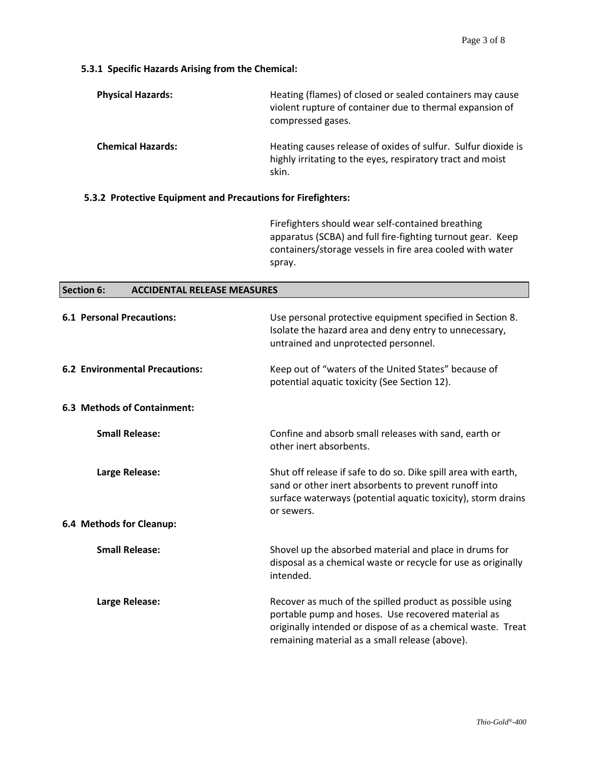# **5.3.1 Specific Hazards Arising from the Chemical:**

| <b>Physical Hazards:</b> | Heating (flames) of closed or sealed containers may cause<br>violent rupture of container due to thermal expansion of<br>compressed gases. |
|--------------------------|--------------------------------------------------------------------------------------------------------------------------------------------|
| <b>Chemical Hazards:</b> | Heating causes release of oxides of sulfur. Sulfur dioxide is<br>highly irritating to the eyes, respiratory tract and moist<br>skin.       |

# **5.3.2 Protective Equipment and Precautions for Firefighters:**

Firefighters should wear self-contained breathing apparatus (SCBA) and full fire-fighting turnout gear. Keep containers/storage vessels in fire area cooled with water spray.

| <b>Section 6:</b><br><b>ACCIDENTAL RELEASE MEASURES</b> |                                                                                                                                                                                                                                  |  |
|---------------------------------------------------------|----------------------------------------------------------------------------------------------------------------------------------------------------------------------------------------------------------------------------------|--|
| <b>6.1 Personal Precautions:</b>                        | Use personal protective equipment specified in Section 8.<br>Isolate the hazard area and deny entry to unnecessary,<br>untrained and unprotected personnel.                                                                      |  |
| <b>6.2 Environmental Precautions:</b>                   | Keep out of "waters of the United States" because of<br>potential aquatic toxicity (See Section 12).                                                                                                                             |  |
| 6.3 Methods of Containment:                             |                                                                                                                                                                                                                                  |  |
| <b>Small Release:</b>                                   | Confine and absorb small releases with sand, earth or<br>other inert absorbents.                                                                                                                                                 |  |
| Large Release:                                          | Shut off release if safe to do so. Dike spill area with earth,<br>sand or other inert absorbents to prevent runoff into<br>surface waterways (potential aquatic toxicity), storm drains<br>or sewers.                            |  |
| 6.4 Methods for Cleanup:                                |                                                                                                                                                                                                                                  |  |
| <b>Small Release:</b>                                   | Shovel up the absorbed material and place in drums for<br>disposal as a chemical waste or recycle for use as originally<br>intended.                                                                                             |  |
| Large Release:                                          | Recover as much of the spilled product as possible using<br>portable pump and hoses. Use recovered material as<br>originally intended or dispose of as a chemical waste. Treat<br>remaining material as a small release (above). |  |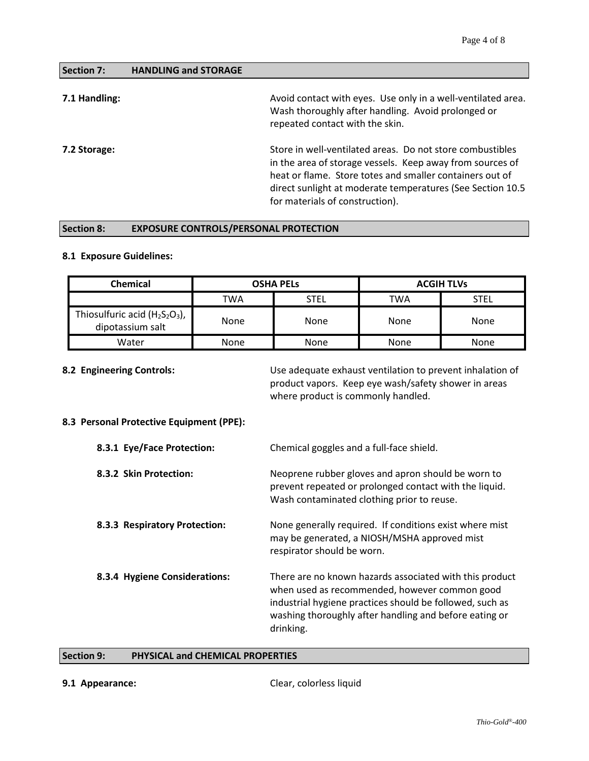| Section 7: | <b>HANDLING and STORAGE</b> |
|------------|-----------------------------|
|            |                             |

| 7.1 Handling: | Avoid contact with eyes. Use only in a well-ventilated area.<br>Wash thoroughly after handling. Avoid prolonged or<br>repeated contact with the skin.                                                                                                                                |
|---------------|--------------------------------------------------------------------------------------------------------------------------------------------------------------------------------------------------------------------------------------------------------------------------------------|
| 7.2 Storage:  | Store in well-ventilated areas. Do not store combustibles<br>in the area of storage vessels. Keep away from sources of<br>heat or flame. Store totes and smaller containers out of<br>direct sunlight at moderate temperatures (See Section 10.5)<br>for materials of construction). |

# **Section 8: EXPOSURE CONTROLS/PERSONAL PROTECTION**

# **8.1 Exposure Guidelines:**

| <b>Chemical</b>                                       | <b>OSHA PELS</b> |             | <b>ACGIH TLVs</b> |      |
|-------------------------------------------------------|------------------|-------------|-------------------|------|
|                                                       | TWA              | <b>STEL</b> | TWA               | STEL |
| Thiosulfuric acid $(H_2S_2O_3)$ ,<br>dipotassium salt | None             | None        | None              | None |
| Water                                                 | None             | None        | None              | None |

**8.2 Engineering Controls:** Use adequate exhaust ventilation to prevent inhalation of product vapors. Keep eye wash/safety shower in areas where product is commonly handled.

# **8.3 Personal Protective Equipment (PPE):**

| 8.3.1 Eye/Face Protection:    | Chemical goggles and a full-face shield.                                                                                                                                                                                                    |
|-------------------------------|---------------------------------------------------------------------------------------------------------------------------------------------------------------------------------------------------------------------------------------------|
| 8.3.2 Skin Protection:        | Neoprene rubber gloves and apron should be worn to<br>prevent repeated or prolonged contact with the liquid.<br>Wash contaminated clothing prior to reuse.                                                                                  |
| 8.3.3 Respiratory Protection: | None generally required. If conditions exist where mist<br>may be generated, a NIOSH/MSHA approved mist<br>respirator should be worn.                                                                                                       |
| 8.3.4 Hygiene Considerations: | There are no known hazards associated with this product<br>when used as recommended, however common good<br>industrial hygiene practices should be followed, such as<br>washing thoroughly after handling and before eating or<br>drinking. |

# **Section 9: PHYSICAL and CHEMICAL PROPERTIES**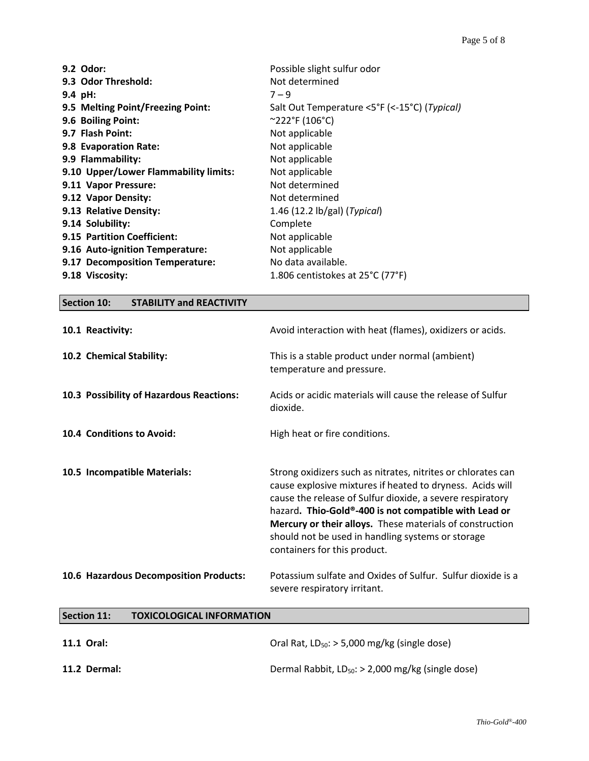| 9.2 Odor:                             | Possible slight sulfur odor                     |
|---------------------------------------|-------------------------------------------------|
| 9.3 Odor Threshold:                   | Not determined                                  |
| 9.4 pH:                               | $7 - 9$                                         |
| 9.5 Melting Point/Freezing Point:     | Salt Out Temperature <5°F (<-15°C) (Typical)    |
| 9.6 Boiling Point:                    | $^{\circ}222^{\circ}$ F (106°C)                 |
| 9.7 Flash Point:                      | Not applicable                                  |
| 9.8 Evaporation Rate:                 | Not applicable                                  |
| 9.9 Flammability:                     | Not applicable                                  |
| 9.10 Upper/Lower Flammability limits: | Not applicable                                  |
| 9.11 Vapor Pressure:                  | Not determined                                  |
| 9.12 Vapor Density:                   | Not determined                                  |
| 9.13 Relative Density:                | 1.46 $(12.2 \text{ lb/gal})$ ( <i>Typical</i> ) |
| 9.14 Solubility:                      | Complete                                        |
| 9.15 Partition Coefficient:           | Not applicable                                  |
| 9.16 Auto-ignition Temperature:       | Not applicable                                  |
| 9.17 Decomposition Temperature:       | No data available.                              |
| 9.18 Viscosity:                       | 1.806 centistokes at 25°C (77°F)                |
|                                       |                                                 |

# **Section 10: STABILITY and REACTIVITY 10.1 Reactivity:** Avoid interaction with heat (flames), oxidizers or acids. **10.2 Chemical Stability:** This is a stable product under normal (ambient) temperature and pressure. **10.3 Possibility of Hazardous Reactions:** Acids or acidic materials will cause the release of Sulfur dioxide. **10.4 Conditions to Avoid:** High heat or fire conditions. **10.5 Incompatible Materials:** Strong oxidizers such as nitrates, nitrites or chlorates can cause explosive mixtures if heated to dryness. Acids will cause the release of Sulfur dioxide, a severe respiratory hazard**. Thio-Gold®-400 is not compatible with Lead or Mercury or their alloys.** These materials of construction should not be used in handling systems or storage containers for this product. **10.6 Hazardous Decomposition Products:** Potassium sulfate and Oxides of Sulfur. Sulfur dioxide is a severe respiratory irritant.

## **Section 11: TOXICOLOGICAL INFORMATION**

| 11.1 Oral:   | Oral Rat, $LD_{50}$ : > 5,000 mg/kg (single dose)      |
|--------------|--------------------------------------------------------|
| 11.2 Dermal: | Dermal Rabbit, $LD_{50}$ : > 2,000 mg/kg (single dose) |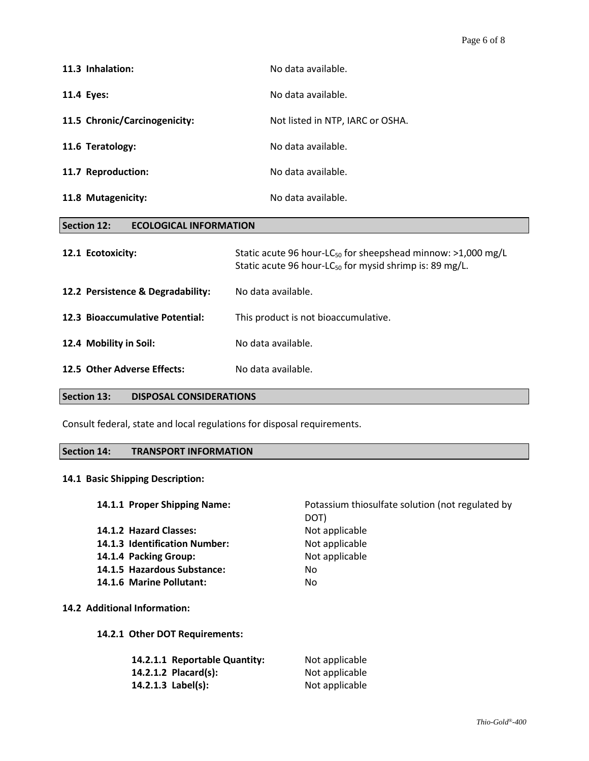| 11.3 Inhalation:              | No data available.               |
|-------------------------------|----------------------------------|
| 11.4 Eyes:                    | No data available.               |
| 11.5 Chronic/Carcinogenicity: | Not listed in NTP, IARC or OSHA. |
| 11.6 Teratology:              | No data available.               |
| 11.7 Reproduction:            | No data available.               |
| 11.8 Mutagenicity:            | No data available.               |

| 12.1 Ecotoxicity:                 | Static acute 96 hour-LC <sub>50</sub> for sheepshead minnow: $>1,000$ mg/L<br>Static acute 96 hour-LC <sub>50</sub> for mysid shrimp is: 89 mg/L. |
|-----------------------------------|---------------------------------------------------------------------------------------------------------------------------------------------------|
| 12.2 Persistence & Degradability: | No data available.                                                                                                                                |
| 12.3 Bioaccumulative Potential:   | This product is not bioaccumulative.                                                                                                              |

12.5 Other Adverse Effects: No data available.

12.4 Mobility in Soil: No data available.

**Section 13: DISPOSAL CONSIDERATIONS**

**Section 12: ECOLOGICAL INFORMATION**

Consult federal, state and local regulations for disposal requirements.

# **Section 14: TRANSPORT INFORMATION**

# **14.1 Basic Shipping Description:**

**14.2** 

| 14.1.1 Proper Shipping Name:   | Potassium thiosulfate solution (not regulated by<br>DOT) |  |
|--------------------------------|----------------------------------------------------------|--|
| 14.1.2 Hazard Classes:         | Not applicable                                           |  |
| 14.1.3 Identification Number:  | Not applicable                                           |  |
| 14.1.4 Packing Group:          | Not applicable                                           |  |
| 14.1.5 Hazardous Substance:    | No.                                                      |  |
| 14.1.6 Marine Pollutant:       | No                                                       |  |
| <b>Additional Information:</b> |                                                          |  |
| 14.2.1 Other DOT Requirements: |                                                          |  |
| 14.2.1.1 Reportable Quantity:  | Not applicable                                           |  |
| 14.2.1.2 Placard(s):           | Not applicable                                           |  |
| 14.2.1.3 Label(s):             | Not applicable                                           |  |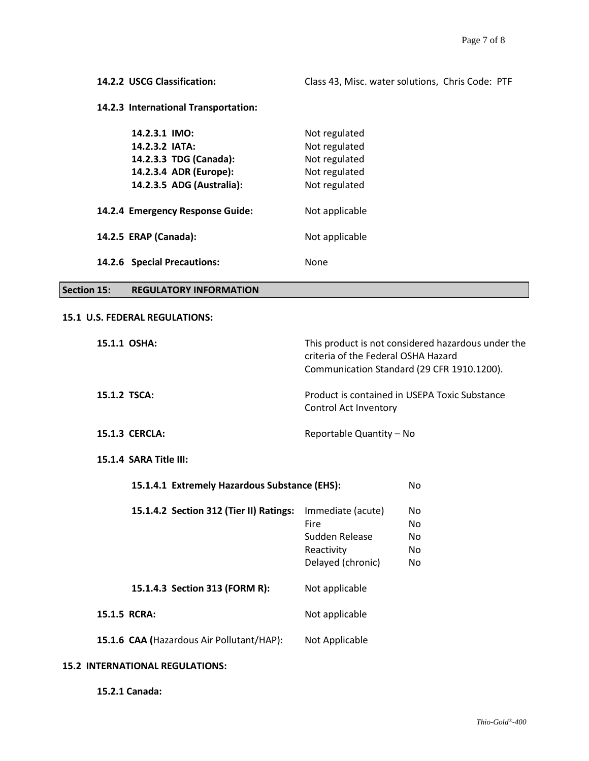# **14.2.3 International Transportation:**

| 14.2.3.1 IMO:<br>14.2.3.2 IATA:<br>14.2.3.3 TDG (Canada):<br>14.2.3.4 ADR (Europe):<br>14.2.3.5 ADG (Australia): | Not regulated<br>Not regulated<br>Not regulated<br>Not regulated<br>Not regulated |
|------------------------------------------------------------------------------------------------------------------|-----------------------------------------------------------------------------------|
| 14.2.4 Emergency Response Guide:                                                                                 | Not applicable                                                                    |
| 14.2.5 ERAP (Canada):                                                                                            | Not applicable                                                                    |
| 14.2.6 Special Precautions:                                                                                      | None                                                                              |

# **Section 15: REGULATORY INFORMATION**

#### **15.1 U.S. FEDERAL REGULATIONS:**

| 15.1.1 OSHA:                                  | criteria of the Federal OSHA Hazard                                            | This product is not considered hazardous under the<br>Communication Standard (29 CFR 1910.1200). |
|-----------------------------------------------|--------------------------------------------------------------------------------|--------------------------------------------------------------------------------------------------|
| 15.1.2 TSCA:                                  | Control Act Inventory                                                          | Product is contained in USEPA Toxic Substance                                                    |
| <b>15.1.3 CERCLA:</b>                         | Reportable Quantity - No                                                       |                                                                                                  |
| 15.1.4 SARA Title III:                        |                                                                                |                                                                                                  |
| 15.1.4.1 Extremely Hazardous Substance (EHS): |                                                                                | No.                                                                                              |
| 15.1.4.2 Section 312 (Tier II) Ratings:       | Immediate (acute)<br>Fire<br>Sudden Release<br>Reactivity<br>Delayed (chronic) | No.<br>No<br>No.<br>No.<br>No.                                                                   |
| 15.1.4.3 Section 313 (FORM R):                | Not applicable                                                                 |                                                                                                  |
| 15.1.5 RCRA:                                  | Not applicable                                                                 |                                                                                                  |
| 15.1.6 CAA (Hazardous Air Pollutant/HAP):     | Not Applicable                                                                 |                                                                                                  |
| <b>15.2 INTERNATIONAL REGULATIONS:</b>        |                                                                                |                                                                                                  |

**15.2.1 Canada:**